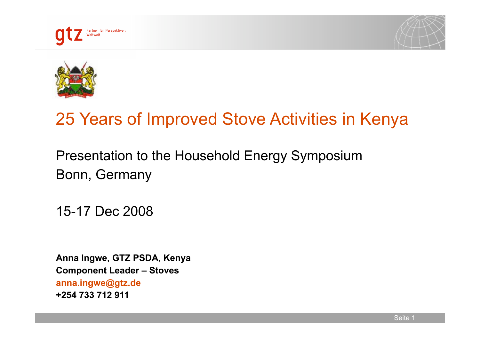





# 25 Years of Improved Stove Activities in Kenya

Presentation to the Household Energy Symposium Bonn, Germany

15-17 Dec 2008

**Anna Ingwe, GTZ PSDA, Kenya Component Leader – Stoves anna.ingwe@gtz.de +254 733 712 911**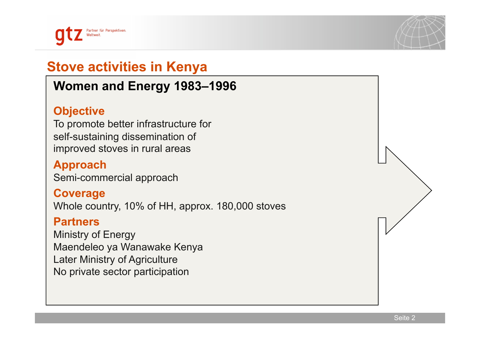



# **Stove activities in Kenya**

# **Women and Energy 1983–1996**

#### **Objective**

To promote better infrastructure for self-sustaining dissemination of improved stoves in rural areas

#### **Approach**

Semi-commercial approach

#### **Coverage**

Whole country, 10% of HH, approx. 180,000 stoves

#### **Partners**

Ministry of Energy Maendeleo ya Wanawake Kenya Later Ministry of Agriculture No private sector participation

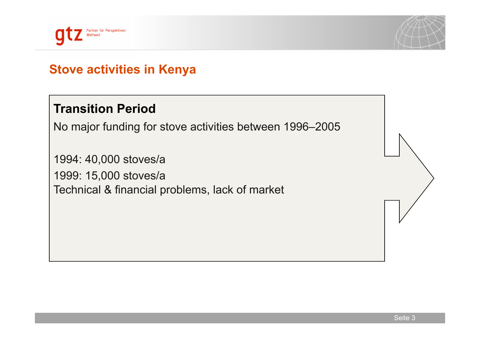



# **Stove activities in Kenya**

# **Transition Period**

No major funding for stove activities between 1996–2005

1994: 40,000 stoves/a 1999: 15,000 stoves/a Technical & financial problems, lack of market

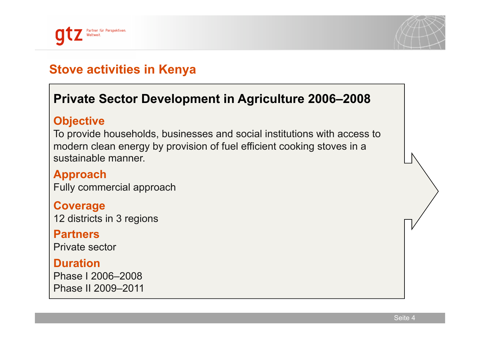



# **Stove activities in Kenya**

# **Private Sector Development in Agriculture 2006–2008**

#### **Objective**

To provide households, businesses and social institutions with access to modern clean energy by provision of fuel efficient cooking stoves in a sustainable manner.

**Approach**  Fully commercial approach

#### **Coverage**

12 districts in 3 regions

#### **Partners**

Private sector

#### **Duration**

Phase I 2006–2008 Phase II 2009–2011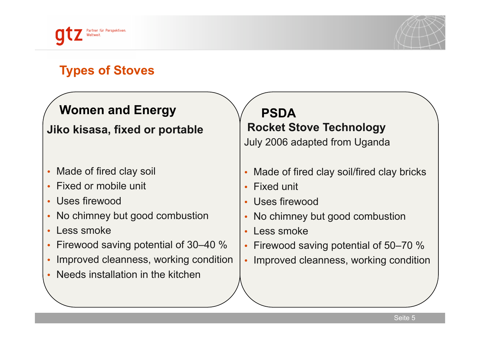



# **Types of Stoves**

# **Women and Energy**

# **Jiko kisasa, fixed or portable**

- Made of fired clay soil
- Fixed or mobile unit
- Uses firewood
- No chimney but good combustion
- Less smoke
- Firewood saving potential of 30–40 %
- Improved cleanness, working condition
- Needs installation in the kitchen

**PSDA Rocket Stove Technology** 

July 2006 adapted from Uganda

- Made of fired clay soil/fired clay bricks
- Fixed unit
- Uses firewood
- No chimney but good combustion
- Less smoke
- Firewood saving potential of 50–70 %
- Improved cleanness, working condition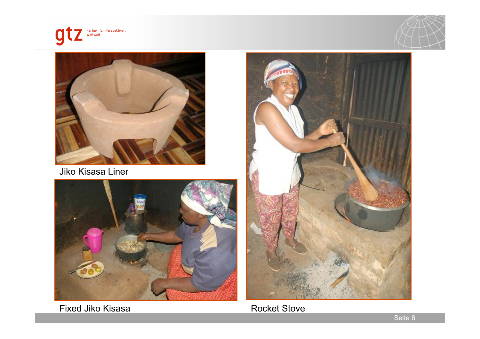





Jiko Kisasa Liner



Fixed Jiko Kisasa



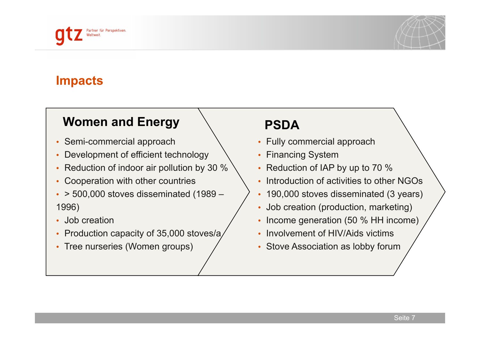



# **Impacts**

# Women and Energy  $\bigvee$  **PSDA**

- Semi-commercial approach
- Development of efficient technology
- Reduction of indoor air pollution by 30 %
- Cooperation with other countries
- $\cdot$  > 500,000 stoves disseminated (1989 1996)
- Job creation
- Production capacity of 35,000 stoves/a
- Tree nurseries (Women groups)

- Fully commercial approach
- Financing System
- Reduction of IAP by up to 70 %
- Introduction of activities to other NGOs
- 190,000 stoves disseminated (3 years)
- Job creation (production, marketing)
- Income generation (50 % HH income)
- Involvement of HIV/Aids victims
- Stove Association as lobby forum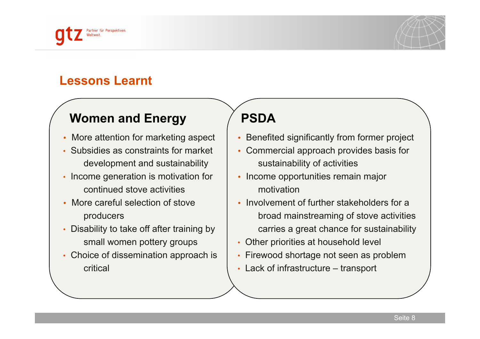



#### **Lessons Learnt**

# **Women and Energy**

- More attention for marketing aspect
- Subsidies as constraints for market development and sustainability
- Income generation is motivation for continued stove activities
- More careful selection of stove producers
- Disability to take off after training by small women pottery groups
- Choice of dissemination approach is critical

# **PSDA**

- Benefited significantly from former project
- Commercial approach provides basis for sustainability of activities
- Income opportunities remain major motivation
- Involvement of further stakeholders for a broad mainstreaming of stove activities carries a great chance for sustainability
- Other priorities at household level
- Firewood shortage not seen as problem
- Lack of infrastructure transport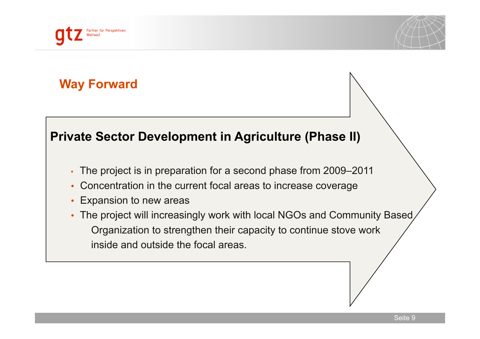



#### **Private Sector Development in Agriculture (Phase II)**

- The project is in preparation for a second phase from 2009–2011
- Concentration in the current focal areas to increase coverage
- Expansion to new areas
- The project will increasingly work with local NGOs and Community Based Organization to strengthen their capacity to continue stove work inside and outside the focal areas.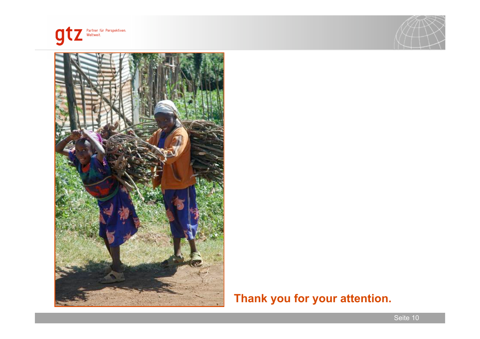





#### **Thank you for your attention.**

Seite 10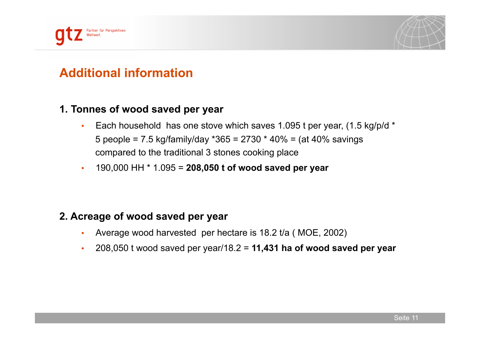



# **Additional information**

#### **1. Tonnes of wood saved per year**

- Each household has one stove which saves 1.095 t per year, (1.5 kg/p/d \* 5 people = 7.5 kg/family/day  $*365 = 2730 * 40\% = (at 40\%$  savings compared to the traditional 3 stones cooking place
- 190,000 HH \* 1.095 = **208,050 t of wood saved per year**

#### **2. Acreage of wood saved per year**

- Average wood harvested per hectare is 18.2 t/a ( MOE, 2002)
- 208,050 t wood saved per year/18.2 = **11,431 ha of wood saved per year**